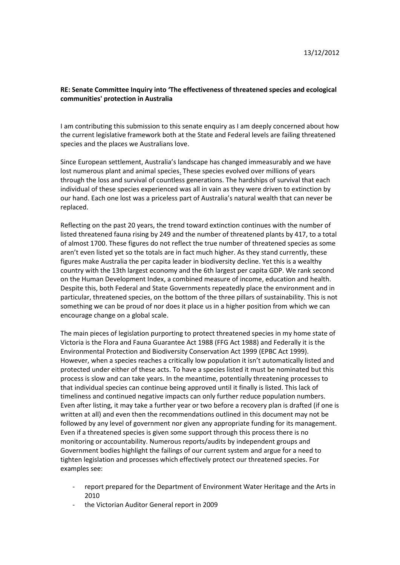## **RE: Senate Committee Inquiry into 'The effectiveness of threatened species and ecological communities' protection in Australia**

I am contributing this submission to this senate enquiry as I am deeply concerned about how the current legislative framework both at the State and Federal levels are failing threatened species and the places we Australians love.

Since European settlement, Australia's landscape has changed immeasurably and we have lost numerous plant and animal species. These species evolved over millions of years through the loss and survival of countless generations. The hardships of survival that each individual of these species experienced was all in vain as they were driven to extinction by our hand. Each one lost was a priceless part of Australia's natural wealth that can never be replaced.

Reflecting on the past 20 years, the trend toward extinction continues with the number of listed threatened fauna rising by 249 and the number of threatened plants by 417, to a total of almost 1700. These figures do not reflect the true number of threatened species as some aren't even listed yet so the totals are in fact much higher. As they stand currently, these figures make Australia the per capita leader in biodiversity decline. Yet this is a wealthy country with the 13th largest economy and the 6th largest per capita GDP. We rank second on the Human Development Index, a combined measure of income, education and health. Despite this, both Federal and State Governments repeatedly place the environment and in particular, threatened species, on the bottom of the three pillars of sustainability. This is not something we can be proud of nor does it place us in a higher position from which we can encourage change on a global scale.

The main pieces of legislation purporting to protect threatened species in my home state of Victoria is the Flora and Fauna Guarantee Act 1988 (FFG Act 1988) and Federally it is the Environmental Protection and Biodiversity Conservation Act 1999 (EPBC Act 1999). However, when a species reaches a critically low population it isn't automatically listed and protected under either of these acts. To have a species listed it must be nominated but this process is slow and can take years. In the meantime, potentially threatening processes to that individual species can continue being approved until it finally is listed. This lack of timeliness and continued negative impacts can only further reduce population numbers. Even after listing, it may take a further year or two before a recovery plan is drafted (if one is written at all) and even then the recommendations outlined in this document may not be followed by any level of government nor given any appropriate funding for its management. Even if a threatened species is given some support through this process there is no monitoring or accountability. Numerous reports/audits by independent groups and Government bodies highlight the failings of our current system and argue for a need to tighten legislation and processes which effectively protect our threatened species. For examples see:

- report prepared for the Department of Environment Water Heritage and the Arts in 2010
- the Victorian Auditor General report in 2009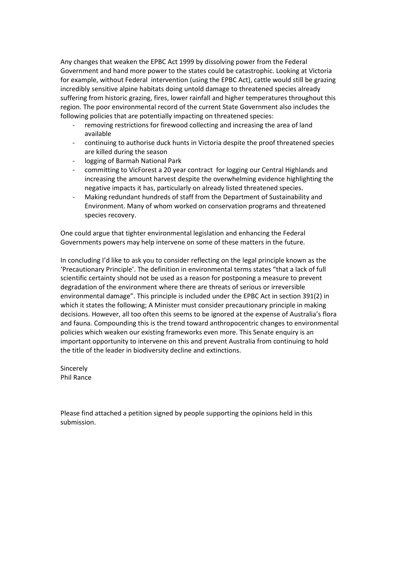Any changes that weaken the EPBC Act 1999 by dissolving power from the Federal Government and hand more power to the states could be catastrophic. Looking at Victoria for example, without Federal intervention (using the EPBC Act), cattle would still be grazing incredibly sensitive alpine habitats doing untold damage to threatened species already suffering from historic grazing, fires, lower rainfall and higher temperatures throughout this region. The poor environmental record of the current State Government also includes the following policies that are potentially impacting on threatened species:

- removing restrictions for firewood collecting and increasing the area of land available
- continuing to authorise duck hunts in Victoria despite the proof threatened species are killed during the season
- logging of Barmah National Park
- committing to VicForest a 20 year contract for logging our Central Highlands and increasing the amount harvest despite the overwhelming evidence highlighting the negative impacts it has, particularly on already listed threatened species.
- Making redundant hundreds of staff from the Department of Sustainability and Environment. Many of whom worked on conservation programs and threatened species recovery.

One could argue that tighter environmental legislation and enhancing the Federal Governments powers may help intervene on some of these matters in the future.

In concluding I'd like to ask you to consider reflecting on the legal principle known as the 'Precautionary Principle'. The definition in environmental terms states "that a lack of full scientific certainty should not be used as a reason for postponing a measure to prevent degradation of the environment where there are threats of serious or irreversible environmental damage". This principle is included under the EPBC Act in section 391(2) in which it states the following; A Minister must consider precautionary principle in making decisions. However, all too often this seems to be ignored at the expense of Australia's flora and fauna. Compounding this is the trend toward anthropocentric changes to environmental policies which weaken our existing frameworks even more. This Senate enquiry is an important opportunity to intervene on this and prevent Australia from continuing to hold the title of the leader in biodiversity decline and extinctions.

Sincerely Phil Rance

Please find attached a petition signed by people supporting the opinions held in this submission.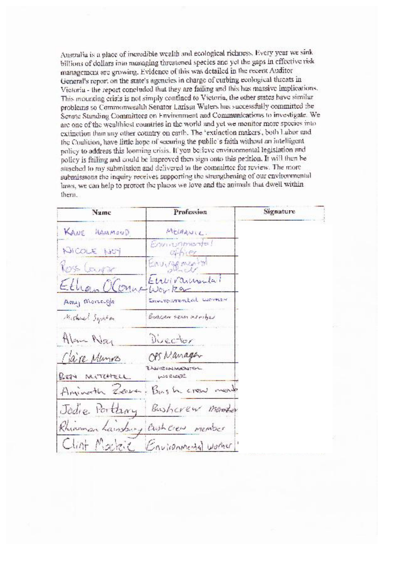Australia is a place of incredible wealth and ecological richness. Every year we sink billions of dollars into munaging threatened species and yet the gaps in effective risk management are growing. Evidence of this was detailed in the recent Auditor General's report on the state's agencies in charge of curbing ecological threats in Victoria - the report concluded that they are failing and this has massive implications. This mounting crisis is not simply contined to Victoria, the other states have similar problems so Commonwealth Senator Larissa Waters has successfully committed the Senate Standing Committees on Environment and Communications to investigate. We are one of the wealthiest countries in the world and yet we monitor more species into extinction than any other country on earth. The 'extinction makers', both Labor and the Coalition, have little hope of securing the public's faith without an intelligent policy to address this looming crisis. If you believe environmental legislation and policy is failing and could be improved then sign onto this petition. It will then be attached to my submission and delivered to the committee for review. The more submissions the inquiry receives supporting the strengthening of our environmental laws, we can help to protect the places we love and the animals that dwell within them.

| Name               | Profession                                  | Signature |
|--------------------|---------------------------------------------|-----------|
| KANE HAMMOND       | MELHANIC.                                   |           |
| <b>KICOLE NOT</b>  | Environmental<br>$Q+H$                      |           |
| <b>Noss</b> Course | Enungemental                                |           |
| Ethan Oloma Worker | Etrilogrammatal                             |           |
| Amy Moregle        | Environmental women                         |           |
| Michael Symfon     | Buchcon team introduct                      |           |
| Alem Neg           | Duector                                     |           |
| Clare Memors       | OPS Nanager                                 |           |
| BEN MITCHELL       | <b>E. NOVICE CAN MOREMETERS.</b><br>WORLDER |           |
|                    | Animath Zerra, Bush crew ment               |           |
| Jodie Portary      | Busheren marker                             |           |
|                    | Rhiannan Lainsbury Cash Over member         |           |
|                    | Clint Macheic Environmental worker!         |           |